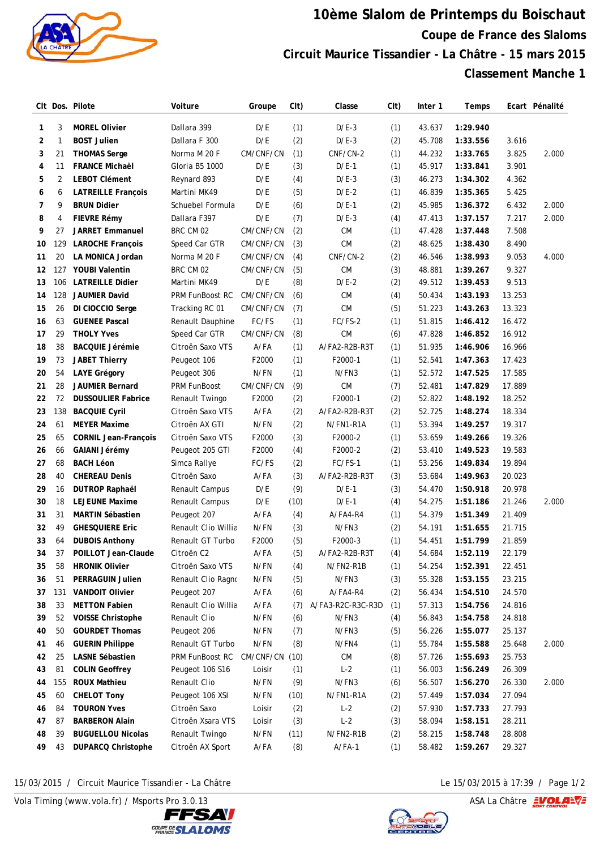

## **10ème Slalom de Printemps du Boischaut Coupe de France des Slaloms Circuit Maurice Tissandier - La Châtre - 15 mars 2015 Classement Manche 1**

|    |     | CIt Dos. Pilote             | Voiture                | Groupe    | C <sub>I</sub> t) | Classe            | C <sub>It</sub> | Inter 1 | Temps    |        | Ecart Pénalité |
|----|-----|-----------------------------|------------------------|-----------|-------------------|-------------------|-----------------|---------|----------|--------|----------------|
| 1  | 3   | <b>MOREL Olivier</b>        | Dallara 399            | D/E       | (1)               | $D/E-3$           | (1)             | 43.637  | 1:29.940 |        |                |
| 2  | 1   | <b>BOST Julien</b>          | Dallara F 300          | D/E       | (2)               | $D/E-3$           | (2)             | 45.708  | 1:33.556 | 3.616  |                |
| 3  | 21  | <b>THOMAS Serge</b>         | Norma M 20 F           | CM/CNF/CN | (1)               | CNF/CN-2          | (1)             | 44.232  | 1:33.765 | 3.825  | 2.000          |
| 4  | 11  | <b>FRANCE Michaël</b>       | Gloria B5 1000         | D/E       | (3)               | $D/E-1$           | (1)             | 45.917  | 1:33.841 | 3.901  |                |
| 5  | 2   | <b>LEBOT Clément</b>        | Reynard 893            | D/E       | (4)               | $D/E-3$           | (3)             | 46.273  | 1:34.302 | 4.362  |                |
| 6  | 6   | <b>LATREILLE François</b>   | Martini MK49           | D/E       | (5)               | $D/E-2$           | (1)             | 46.839  | 1:35.365 | 5.425  |                |
| 7  | 9   | <b>BRUN Didier</b>          | Schuebel Formula       | D/E       | (6)               | $D/E-1$           | (2)             | 45.985  | 1:36.372 | 6.432  | 2.000          |
| 8  | 4   | FIEVRE Rémy                 | Dallara F397           | D/E       | (7)               | $D/E-3$           | (4)             | 47.413  | 1:37.157 | 7.217  | 2.000          |
| 9  | 27  | <b>JARRET Emmanuel</b>      | BRC CM 02              | CM/CNF/CN | (2)               | <b>CM</b>         | (1)             | 47.428  | 1:37.448 | 7.508  |                |
| 10 | 129 | <b>LAROCHE François</b>     | Speed Car GTR          | CM/CNF/CN | (3)               | <b>CM</b>         | (2)             | 48.625  | 1:38.430 | 8.490  |                |
| 11 | 20  | LA MONICA Jordan            | Norma M 20 F           | CM/CNF/CN | (4)               | CNF/CN-2          | (2)             | 46.546  | 1:38.993 | 9.053  | 4.000          |
| 12 | 127 | <b>YOUBI Valentin</b>       | BRC CM 02              | CM/CNF/CN | (5)               | <b>CM</b>         | (3)             | 48.881  | 1:39.267 | 9.327  |                |
| 13 | 106 | <b>LATREILLE Didier</b>     | Martini MK49           | D/E       | (8)               | $D/E-2$           | (2)             | 49.512  | 1:39.453 | 9.513  |                |
| 14 | 128 | <b>JAUMIER David</b>        | <b>PRM FunBoost RC</b> | CM/CNF/CN | (6)               | <b>CM</b>         | (4)             | 50.434  | 1:43.193 | 13.253 |                |
| 15 | 26  | DI CIOCCIO Serge            | Tracking RC 01         | CM/CNF/CN | (7)               | <b>CM</b>         | (5)             | 51.223  | 1:43.263 | 13.323 |                |
| 16 | 63  | <b>GUENEE Pascal</b>        | Renault Dauphine       | FC/FS     | (1)               | FC/FS-2           | (1)             | 51.815  | 1:46.412 | 16.472 |                |
| 17 | 29  | <b>THOLY Yves</b>           | Speed Car GTR          | CM/CNF/CN | (8)               | <b>CM</b>         | (6)             | 47.828  | 1:46.852 | 16.912 |                |
| 18 | 38  | <b>BACQUIE Jérémie</b>      | Citroën Saxo VTS       | $A$ /FA   | (1)               | A/FA2-R2B-R3T     | (1)             | 51.935  | 1:46.906 | 16.966 |                |
| 19 | 73  | <b>JABET Thierry</b>        | Peugeot 106            | F2000     | (1)               | F2000-1           | (1)             | 52.541  | 1:47.363 | 17.423 |                |
| 20 | 54  | <b>LAYE Grégory</b>         | Peugeot 306            | N/FN      | (1)               | N/FN3             | (1)             | 52.572  | 1:47.525 | 17.585 |                |
| 21 | 28  | JAUMIER Bernard             | <b>PRM FunBoost</b>    | CM/CNF/CN | (9)               | <b>CM</b>         | (7)             | 52.481  | 1:47.829 | 17.889 |                |
| 22 | 72  | <b>DUSSOULIER Fabrice</b>   | Renault Twingo         | F2000     | (2)               | F2000-1           | (2)             | 52.822  | 1:48.192 | 18.252 |                |
| 23 | 138 | <b>BACQUIE Cyril</b>        | Citroën Saxo VTS       | $A$ /FA   | (2)               | A/FA2-R2B-R3T     | (2)             | 52.725  | 1:48.274 | 18.334 |                |
| 24 | 61  | <b>MEYER Maxime</b>         | Citroën AX GTI         | N/FN      | (2)               | N/FN1-R1A         | (1)             | 53.394  | 1:49.257 | 19.317 |                |
| 25 | 65  | <b>CORNIL Jean-François</b> | Citroën Saxo VTS       | F2000     | (3)               | F2000-2           | (1)             | 53.659  | 1:49.266 | 19.326 |                |
| 26 | 66  | GAIANI Jérémy               | Peugeot 205 GTI        | F2000     | (4)               | F2000-2           | (2)             | 53.410  | 1:49.523 | 19.583 |                |
| 27 | 68  | <b>BACH Léon</b>            | Simca Rallye           | FC/FS     | (2)               | FC/FS-1           | (1)             | 53.256  | 1:49.834 | 19.894 |                |
| 28 | 40  | <b>CHEREAU Denis</b>        | Citroën Saxo           | A/FA      | (3)               | A/FA2-R2B-R3T     | (3)             | 53.684  | 1:49.963 | 20.023 |                |
| 29 | 16  | <b>DUTROP Raphaël</b>       | Renault Campus         | D/E       | (9)               | $D/E-1$           | (3)             | 54.470  | 1:50.918 | 20.978 |                |
| 30 | 18  | <b>LEJEUNE Maxime</b>       | Renault Campus         | D/E       | (10)              | $D/E-1$           | (4)             | 54.275  | 1:51.186 | 21.246 | 2.000          |
| 31 | 31  | <b>MARTIN Sébastien</b>     | Peugeot 207            | A/FA      | (4)               | A/FA4-R4          | (1)             | 54.379  | 1:51.349 | 21.409 |                |
| 32 | 49  | <b>GHESQUIERE Eric</b>      | Renault Clio Willia    | N/FN      | (3)               | N/FN3             | (2)             | 54.191  | 1:51.655 | 21.715 |                |
| 33 | 64  | <b>DUBOIS Anthony</b>       | Renault GT Turbo       | F2000     | (5)               | F2000-3           | (1)             | 54.451  | 1:51.799 | 21.859 |                |
| 34 | 37  | POILLOT Jean-Claude         | Citroën C2             | A/FA      | (5)               | A/FA2-R2B-R3T     | (4)             | 54.684  | 1:52.119 | 22.179 |                |
| 35 | 58  | <b>HRONIK Olivier</b>       | Citroën Saxo VTS       | N/FN      | (4)               | N/FN2-R1B         | (1)             | 54.254  | 1:52.391 | 22.451 |                |
| 36 | 51  | <b>PERRAGUIN Julien</b>     | Renault Clio Ragno     | N/FN      | (5)               | N/FN3             | (3)             | 55.328  | 1:53.155 | 23.215 |                |
| 37 | 131 | <b>VANDOIT Olivier</b>      | Peugeot 207            | A/FA      | (6)               | A/FA4-R4          | (2)             | 56.434  | 1:54.510 | 24.570 |                |
| 38 | 33  | <b>METTON Fabien</b>        | Renault Clio Willia    | A/FA      | (7)               | A/FA3-R2C-R3C-R3D | (1)             | 57.313  | 1:54.756 | 24.816 |                |
| 39 | 52  | <b>VOISSE Christophe</b>    | Renault Clio           | N/FN      | (6)               | N/FN3             | (4)             | 56.843  | 1:54.758 | 24.818 |                |
| 40 | 50  | <b>GOURDET Thomas</b>       | Peugeot 206            | N/FN      | (7)               | N/FN3             | (5)             | 56.226  | 1:55.077 | 25.137 |                |
| 41 | 46  | <b>GUERIN Philippe</b>      | Renault GT Turbo       | N/FN      | (8)               | N/FN4             | (1)             | 55.784  | 1:55.588 | 25.648 | 2.000          |
| 42 | 25  | <b>LASNE Sébastien</b>      | PRM FunBoost RC        | CM/CNF/CN | (10)              | ${\sf CM}$        | (8)             | 57.726  | 1:55.693 | 25.753 |                |
| 43 | 81  | <b>COLIN Geoffrey</b>       | Peugeot 106 S16        | Loisir    | (1)               | $L-2$             | (1)             | 56.003  | 1:56.249 | 26.309 |                |
| 44 | 155 | <b>ROUX Mathieu</b>         | Renault Clio           | N/FN      | (9)               | N/FN3             | (6)             | 56.507  | 1:56.270 | 26.330 | 2.000          |
| 45 | 60  | <b>CHELOT Tony</b>          | Peugeot 106 XSI        | N/FN      | (10)              | N/FN1-R1A         | (2)             | 57.449  | 1:57.034 | 27.094 |                |
| 46 | 84  | <b>TOURON Yves</b>          | Citroën Saxo           | Loisir    | (2)               | $L-2$             | (2)             | 57.930  | 1:57.733 | 27.793 |                |
| 47 | 87  | <b>BARBERON Alain</b>       | Citroën Xsara VTS      | Loisir    | (3)               | $L-2$             | (3)             | 58.094  | 1:58.151 | 28.211 |                |
| 48 | 39  | <b>BUGUELLOU Nicolas</b>    | Renault Twingo         | N/FN      | (11)              | N/FN2-R1B         | (2)             | 58.215  | 1:58.748 | 28.808 |                |
| 49 | 43  | <b>DUPARCQ Christophe</b>   | Citroën AX Sport       | A/FA      | (8)               | $A$ /FA-1         | (1)             | 58.482  | 1:59.267 | 29.327 |                |
|    |     |                             |                        |           |                   |                   |                 |         |          |        |                |

15/03/2015 / Circuit Maurice Tissandier - La Châtre Le 15/03/2015 à 17:39 / Page 1/2

Vola Timing (www.vola.fr) / Msports Pro 3.0.13  $\sqrt{2}$  Vola Timing (www.vola.fr) / Msports Pro 3.0.13